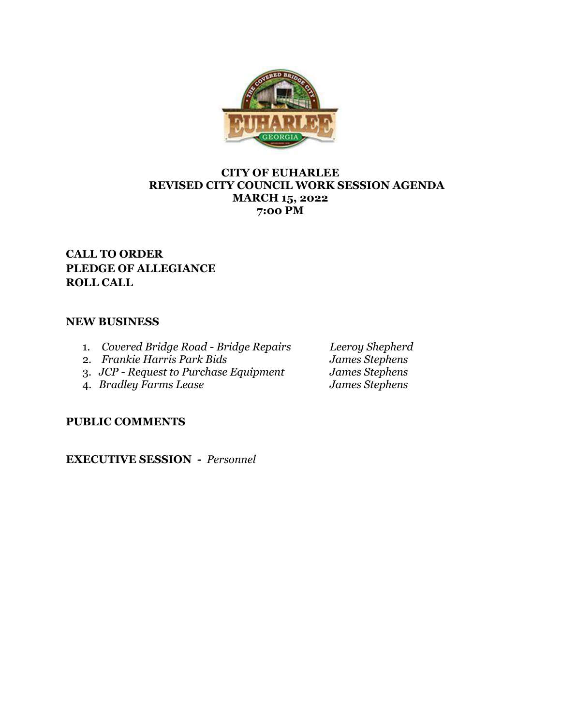

## **CITY OF EUHARLEE REVISED CITY COUNCIL WORK SESSION AGENDA MARCH 15, 2022 7:00 PM**

# **CALL TO ORDER PLEDGE OF ALLEGIANCE ROLL CALL**

# **NEW BUSINESS**

- 1. *Covered Bridge Road - Bridge Repairs Leeroy Shepherd*
- 
- 2. *Frankie Harris Park Bids James Stephens* 3. *JCP - Request to Purchase Equipment James Stephens*
- 4. *Bradley Farms Lease James Stephens*

**PUBLIC COMMENTS**

**EXECUTIVE SESSION -** *Personnel*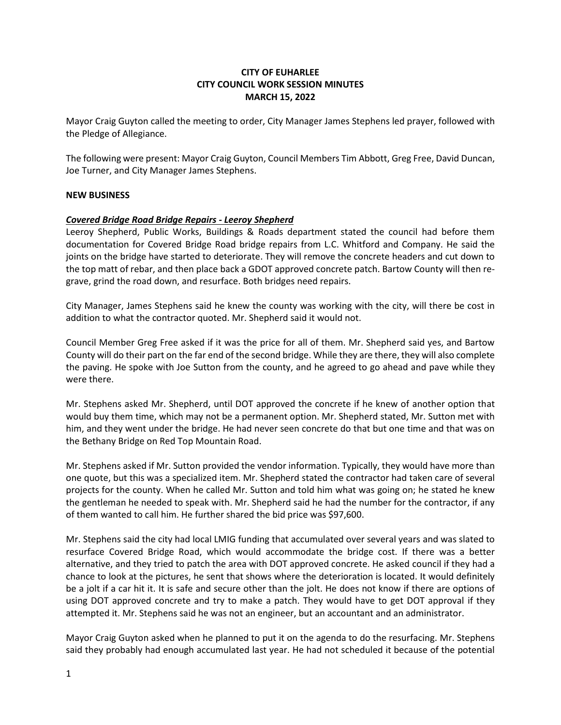## **CITY OF EUHARLEE CITY COUNCIL WORK SESSION MINUTES MARCH 15, 2022**

Mayor Craig Guyton called the meeting to order, City Manager James Stephens led prayer, followed with the Pledge of Allegiance.

The following were present: Mayor Craig Guyton, Council Members Tim Abbott, Greg Free, David Duncan, Joe Turner, and City Manager James Stephens.

#### **NEW BUSINESS**

#### *Covered Bridge Road Bridge Repairs - Leeroy Shepherd*

Leeroy Shepherd, Public Works, Buildings & Roads department stated the council had before them documentation for Covered Bridge Road bridge repairs from L.C. Whitford and Company. He said the joints on the bridge have started to deteriorate. They will remove the concrete headers and cut down to the top matt of rebar, and then place back a GDOT approved concrete patch. Bartow County will then regrave, grind the road down, and resurface. Both bridges need repairs.

City Manager, James Stephens said he knew the county was working with the city, will there be cost in addition to what the contractor quoted. Mr. Shepherd said it would not.

Council Member Greg Free asked if it was the price for all of them. Mr. Shepherd said yes, and Bartow County will do their part on the far end of the second bridge. While they are there, they will also complete the paving. He spoke with Joe Sutton from the county, and he agreed to go ahead and pave while they were there.

Mr. Stephens asked Mr. Shepherd, until DOT approved the concrete if he knew of another option that would buy them time, which may not be a permanent option. Mr. Shepherd stated, Mr. Sutton met with him, and they went under the bridge. He had never seen concrete do that but one time and that was on the Bethany Bridge on Red Top Mountain Road.

Mr. Stephens asked if Mr. Sutton provided the vendor information. Typically, they would have more than one quote, but this was a specialized item. Mr. Shepherd stated the contractor had taken care of several projects for the county. When he called Mr. Sutton and told him what was going on; he stated he knew the gentleman he needed to speak with. Mr. Shepherd said he had the number for the contractor, if any of them wanted to call him. He further shared the bid price was \$97,600.

Mr. Stephens said the city had local LMIG funding that accumulated over several years and was slated to resurface Covered Bridge Road, which would accommodate the bridge cost. If there was a better alternative, and they tried to patch the area with DOT approved concrete. He asked council if they had a chance to look at the pictures, he sent that shows where the deterioration is located. It would definitely be a jolt if a car hit it. It is safe and secure other than the jolt. He does not know if there are options of using DOT approved concrete and try to make a patch. They would have to get DOT approval if they attempted it. Mr. Stephens said he was not an engineer, but an accountant and an administrator.

Mayor Craig Guyton asked when he planned to put it on the agenda to do the resurfacing. Mr. Stephens said they probably had enough accumulated last year. He had not scheduled it because of the potential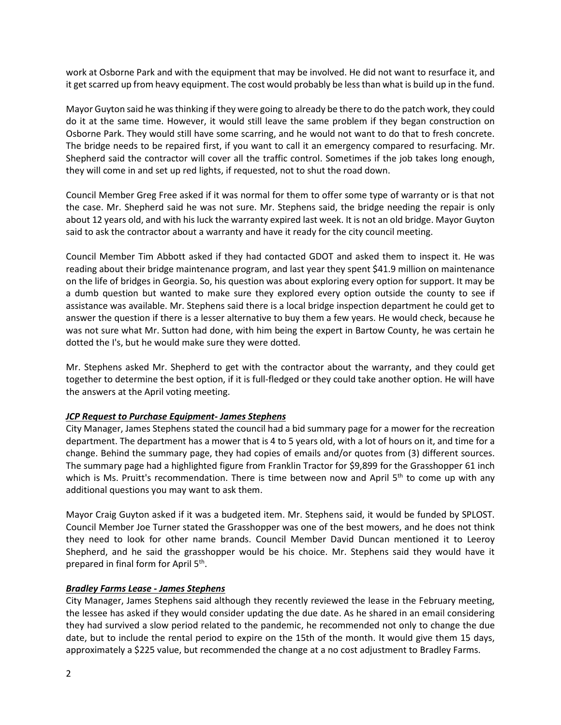work at Osborne Park and with the equipment that may be involved. He did not want to resurface it, and it get scarred up from heavy equipment. The cost would probably be less than what is build up in the fund.

Mayor Guyton said he was thinking if they were going to already be there to do the patch work, they could do it at the same time. However, it would still leave the same problem if they began construction on Osborne Park. They would still have some scarring, and he would not want to do that to fresh concrete. The bridge needs to be repaired first, if you want to call it an emergency compared to resurfacing. Mr. Shepherd said the contractor will cover all the traffic control. Sometimes if the job takes long enough, they will come in and set up red lights, if requested, not to shut the road down.

Council Member Greg Free asked if it was normal for them to offer some type of warranty or is that not the case. Mr. Shepherd said he was not sure. Mr. Stephens said, the bridge needing the repair is only about 12 years old, and with his luck the warranty expired last week. It is not an old bridge. Mayor Guyton said to ask the contractor about a warranty and have it ready for the city council meeting.

Council Member Tim Abbott asked if they had contacted GDOT and asked them to inspect it. He was reading about their bridge maintenance program, and last year they spent \$41.9 million on maintenance on the life of bridges in Georgia. So, his question was about exploring every option for support. It may be a dumb question but wanted to make sure they explored every option outside the county to see if assistance was available. Mr. Stephens said there is a local bridge inspection department he could get to answer the question if there is a lesser alternative to buy them a few years. He would check, because he was not sure what Mr. Sutton had done, with him being the expert in Bartow County, he was certain he dotted the I's, but he would make sure they were dotted.

Mr. Stephens asked Mr. Shepherd to get with the contractor about the warranty, and they could get together to determine the best option, if it is full-fledged or they could take another option. He will have the answers at the April voting meeting.

#### *JCP Request to Purchase Equipment- James Stephens*

City Manager, James Stephens stated the council had a bid summary page for a mower for the recreation department. The department has a mower that is 4 to 5 years old, with a lot of hours on it, and time for a change. Behind the summary page, they had copies of emails and/or quotes from (3) different sources. The summary page had a highlighted figure from Franklin Tractor for \$9,899 for the Grasshopper 61 inch which is Ms. Pruitt's recommendation. There is time between now and April 5<sup>th</sup> to come up with any additional questions you may want to ask them.

Mayor Craig Guyton asked if it was a budgeted item. Mr. Stephens said, it would be funded by SPLOST. Council Member Joe Turner stated the Grasshopper was one of the best mowers, and he does not think they need to look for other name brands. Council Member David Duncan mentioned it to Leeroy Shepherd, and he said the grasshopper would be his choice. Mr. Stephens said they would have it prepared in final form for April 5<sup>th</sup>.

#### *Bradley Farms Lease - James Stephens*

City Manager, James Stephens said although they recently reviewed the lease in the February meeting, the lessee has asked if they would consider updating the due date. As he shared in an email considering they had survived a slow period related to the pandemic, he recommended not only to change the due date, but to include the rental period to expire on the 15th of the month. It would give them 15 days, approximately a \$225 value, but recommended the change at a no cost adjustment to Bradley Farms.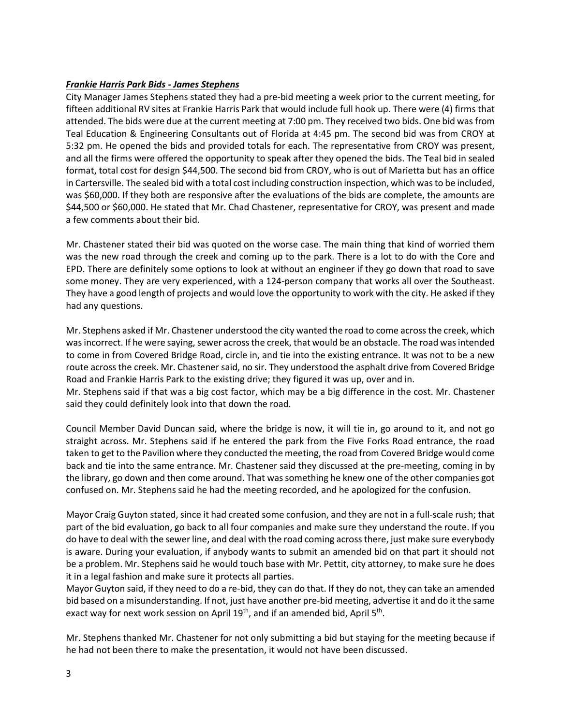## *Frankie Harris Park Bids - James Stephens*

City Manager James Stephens stated they had a pre-bid meeting a week prior to the current meeting, for fifteen additional RV sites at Frankie Harris Park that would include full hook up. There were (4) firms that attended. The bids were due at the current meeting at 7:00 pm. They received two bids. One bid was from Teal Education & Engineering Consultants out of Florida at 4:45 pm. The second bid was from CROY at 5:32 pm. He opened the bids and provided totals for each. The representative from CROY was present, and all the firms were offered the opportunity to speak after they opened the bids. The Teal bid in sealed format, total cost for design \$44,500. The second bid from CROY, who is out of Marietta but has an office in Cartersville. The sealed bid with a total cost including construction inspection, which was to be included, was \$60,000. If they both are responsive after the evaluations of the bids are complete, the amounts are \$44,500 or \$60,000. He stated that Mr. Chad Chastener, representative for CROY, was present and made a few comments about their bid.

Mr. Chastener stated their bid was quoted on the worse case. The main thing that kind of worried them was the new road through the creek and coming up to the park. There is a lot to do with the Core and EPD. There are definitely some options to look at without an engineer if they go down that road to save some money. They are very experienced, with a 124-person company that works all over the Southeast. They have a good length of projects and would love the opportunity to work with the city. He asked if they had any questions.

Mr. Stephens asked if Mr. Chastener understood the city wanted the road to come across the creek, which wasincorrect. If he were saying, sewer across the creek, that would be an obstacle. The road was intended to come in from Covered Bridge Road, circle in, and tie into the existing entrance. It was not to be a new route across the creek. Mr. Chastener said, no sir. They understood the asphalt drive from Covered Bridge Road and Frankie Harris Park to the existing drive; they figured it was up, over and in.

Mr. Stephens said if that was a big cost factor, which may be a big difference in the cost. Mr. Chastener said they could definitely look into that down the road.

Council Member David Duncan said, where the bridge is now, it will tie in, go around to it, and not go straight across. Mr. Stephens said if he entered the park from the Five Forks Road entrance, the road taken to get to the Pavilion where they conducted the meeting, the road from Covered Bridge would come back and tie into the same entrance. Mr. Chastener said they discussed at the pre-meeting, coming in by the library, go down and then come around. That was something he knew one of the other companies got confused on. Mr. Stephens said he had the meeting recorded, and he apologized for the confusion.

Mayor Craig Guyton stated, since it had created some confusion, and they are not in a full-scale rush; that part of the bid evaluation, go back to all four companies and make sure they understand the route. If you do have to deal with the sewer line, and deal with the road coming across there, just make sure everybody is aware. During your evaluation, if anybody wants to submit an amended bid on that part it should not be a problem. Mr. Stephens said he would touch base with Mr. Pettit, city attorney, to make sure he does it in a legal fashion and make sure it protects all parties.

Mayor Guyton said, if they need to do a re-bid, they can do that. If they do not, they can take an amended bid based on a misunderstanding. If not, just have another pre-bid meeting, advertise it and do it the same exact way for next work session on April 19<sup>th</sup>, and if an amended bid, April 5<sup>th</sup>.

Mr. Stephens thanked Mr. Chastener for not only submitting a bid but staying for the meeting because if he had not been there to make the presentation, it would not have been discussed.